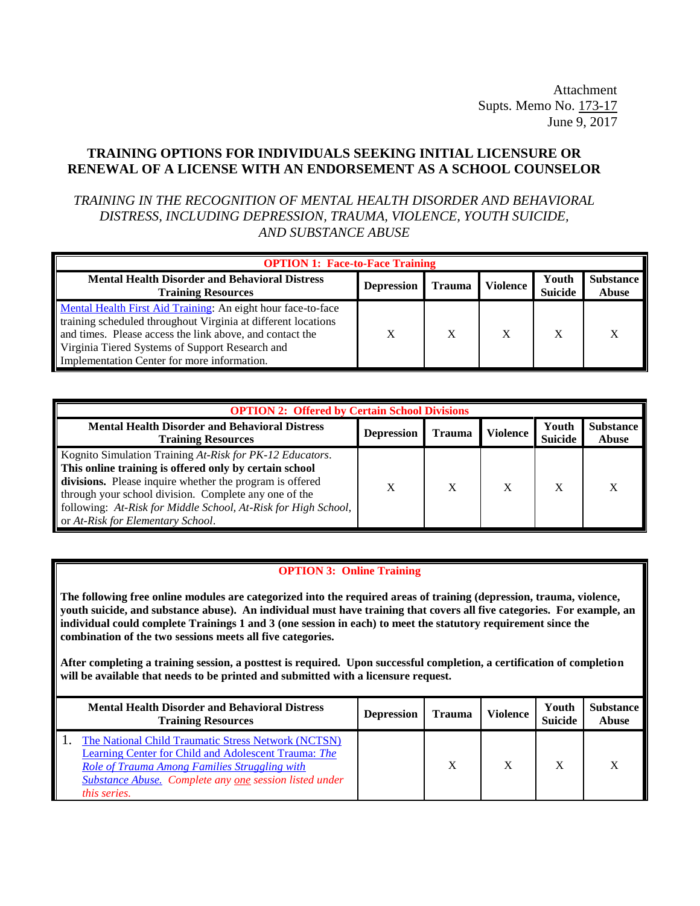Attachment Supts. Memo No. 173-17 June 9, 2017

## **TRAINING OPTIONS FOR INDIVIDUALS SEEKING INITIAL LICENSURE OR RENEWAL OF A LICENSE WITH AN ENDORSEMENT AS A SCHOOL COUNSELOR**

*TRAINING IN THE RECOGNITION OF MENTAL HEALTH DISORDER AND BEHAVIORAL DISTRESS, INCLUDING DEPRESSION, TRAUMA, VIOLENCE, YOUTH SUICIDE, AND SUBSTANCE ABUSE*

| <b>OPTION 1: Face-to-Face Training</b>                                                                                                                                                                                                                                                      |                   |               |                 |                         |                                  |  |
|---------------------------------------------------------------------------------------------------------------------------------------------------------------------------------------------------------------------------------------------------------------------------------------------|-------------------|---------------|-----------------|-------------------------|----------------------------------|--|
| <b>Mental Health Disorder and Behavioral Distress</b><br><b>Training Resources</b>                                                                                                                                                                                                          | <b>Depression</b> | <b>Trauma</b> | <b>Violence</b> | Youth<br><b>Suicide</b> | <b>Substance</b><br><b>Abuse</b> |  |
| Mental Health First Aid Training: An eight hour face-to-face<br>training scheduled throughout Virginia at different locations<br>and times. Please access the link above, and contact the<br>Virginia Tiered Systems of Support Research and<br>Implementation Center for more information. | X                 | X             |                 |                         |                                  |  |

| <b>OPTION 2: Offered by Certain School Divisions</b>                                                                                                                                                                                                                                                                                           |                   |               |                 |                         |                                  |  |
|------------------------------------------------------------------------------------------------------------------------------------------------------------------------------------------------------------------------------------------------------------------------------------------------------------------------------------------------|-------------------|---------------|-----------------|-------------------------|----------------------------------|--|
| <b>Mental Health Disorder and Behavioral Distress</b><br><b>Training Resources</b>                                                                                                                                                                                                                                                             | <b>Depression</b> | <b>Trauma</b> | <b>Violence</b> | Youth<br><b>Suicide</b> | <b>Substance</b><br><b>Abuse</b> |  |
| Kognito Simulation Training At-Risk for PK-12 Educators.<br>This online training is offered only by certain school<br>divisions. Please inquire whether the program is offered<br>through your school division. Complete any one of the<br>following: At-Risk for Middle School, At-Risk for High School,<br>or At-Risk for Elementary School. | X                 | X             |                 | X                       | X                                |  |

## **OPTION 3: Online Training**

**The following free online modules are categorized into the required areas of training (depression, trauma, violence, youth suicide, and substance abuse). An individual must have training that covers all five categories. For example, an**  individual could complete Trainings 1 and 3 (one session in each) to meet the statutory requirement since the **combination of the two sessions meets all five categories.**

**After completing a training session, a posttest is required. Upon successful completion, a certification of completion will be available that needs to be printed and submitted with a licensure request.**

| <b>Mental Health Disorder and Behavioral Distress</b><br><b>Training Resources</b>                                                                                                                                                                   | <b>Depression</b> | <b>Trauma</b> | <b>Violence</b> | Youth<br><b>Suicide</b> | <b>Substance</b><br><b>Abuse</b> |
|------------------------------------------------------------------------------------------------------------------------------------------------------------------------------------------------------------------------------------------------------|-------------------|---------------|-----------------|-------------------------|----------------------------------|
| The National Child Traumatic Stress Network (NCTSN)<br>Learning Center for Child and Adolescent Trauma: The<br>Role of Trauma Among Families Struggling with<br><b>Substance Abuse.</b> Complete any one session listed under<br><i>this series.</i> |                   | X             | X               | X                       |                                  |